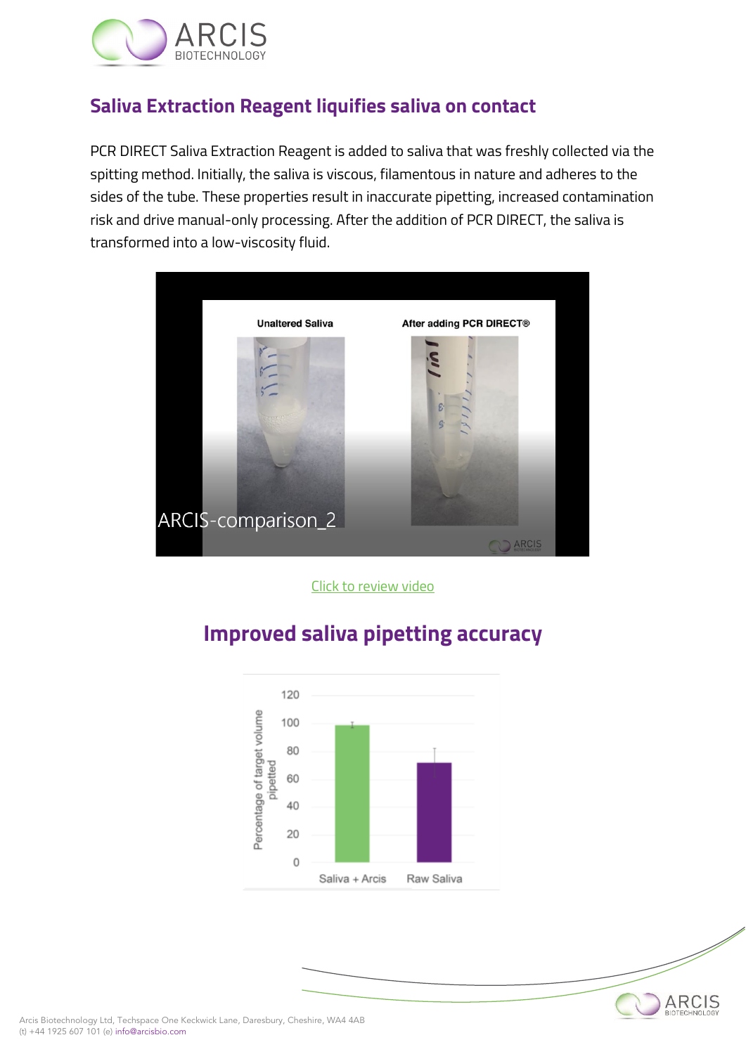

## **Saliva Extraction Reagent liquifies saliva on contact**

PCR DIRECT Saliva Extraction Reagent is added to saliva that was freshly collected via the spitting method. Initially, the saliva is viscous, filamentous in nature and adheres to the sides of the tube. These properties result in inaccurate pipetting, increased contamination risk and drive manual-only processing. After the addition of PCR DIRECT, the saliva is transformed into a low-viscosity fluid.



[Click to review video](https://arcisbio.com/wp-content/uploads/2022/05/ARCIS-comparison_2.mp4)



ARCIS

## **Improved saliva pipetting accuracy**